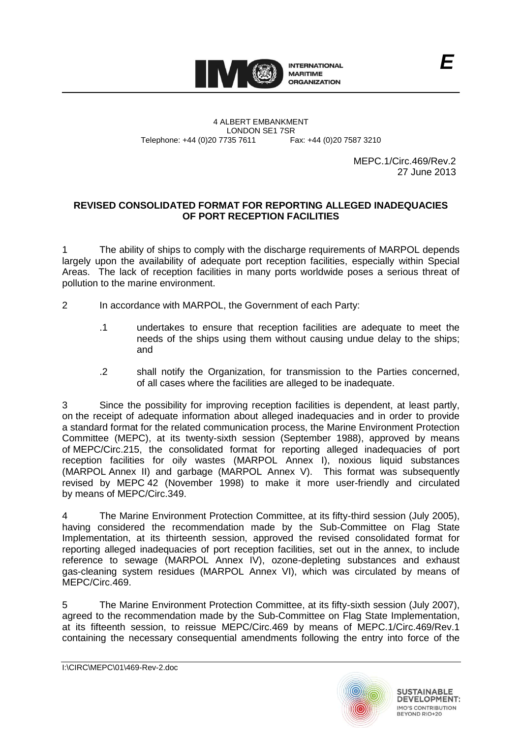

4 ALBERT EMBANKMENT Telephone: +44 (0)20 7735 7611

LONDON SE1 7SR<br>735 7611 Fax: +44 (0)20 7587 3210

MEPC.1/Circ.469/Rev.2 27 June 2013

*E*

## **REVISED CONSOLIDATED FORMAT FOR REPORTING ALLEGED INADEQUACIES OF PORT RECEPTION FACILITIES**

1 The ability of ships to comply with the discharge requirements of MARPOL depends largely upon the availability of adequate port reception facilities, especially within Special Areas. The lack of reception facilities in many ports worldwide poses a serious threat of pollution to the marine environment.

- 2 In accordance with MARPOL, the Government of each Party:
	- .1 undertakes to ensure that reception facilities are adequate to meet the needs of the ships using them without causing undue delay to the ships; and
	- .2 shall notify the Organization, for transmission to the Parties concerned, of all cases where the facilities are alleged to be inadequate.

3 Since the possibility for improving reception facilities is dependent, at least partly, on the receipt of adequate information about alleged inadequacies and in order to provide a standard format for the related communication process, the Marine Environment Protection Committee (MEPC), at its twenty-sixth session (September 1988), approved by means of MEPC/Circ.215, the consolidated format for reporting alleged inadequacies of port reception facilities for oily wastes (MARPOL Annex I), noxious liquid substances (MARPOL Annex II) and garbage (MARPOL Annex V). This format was subsequently revised by MEPC 42 (November 1998) to make it more user-friendly and circulated by means of MEPC/Circ.349.

4 The Marine Environment Protection Committee, at its fifty-third session (July 2005), having considered the recommendation made by the Sub-Committee on Flag State Implementation, at its thirteenth session, approved the revised consolidated format for reporting alleged inadequacies of port reception facilities, set out in the annex, to include reference to sewage (MARPOL Annex IV), ozone-depleting substances and exhaust gas-cleaning system residues (MARPOL Annex VI), which was circulated by means of MEPC/Circ.469.

5 The Marine Environment Protection Committee, at its fifty-sixth session (July 2007), agreed to the recommendation made by the Sub-Committee on Flag State Implementation, at its fifteenth session, to reissue MEPC/Circ.469 by means of MEPC.1/Circ.469/Rev.1 containing the necessary consequential amendments following the entry into force of the



**SUSTAINABLE DEVELOPMENT: IMO'S CONTRIBUTION** BEYOND RIO+20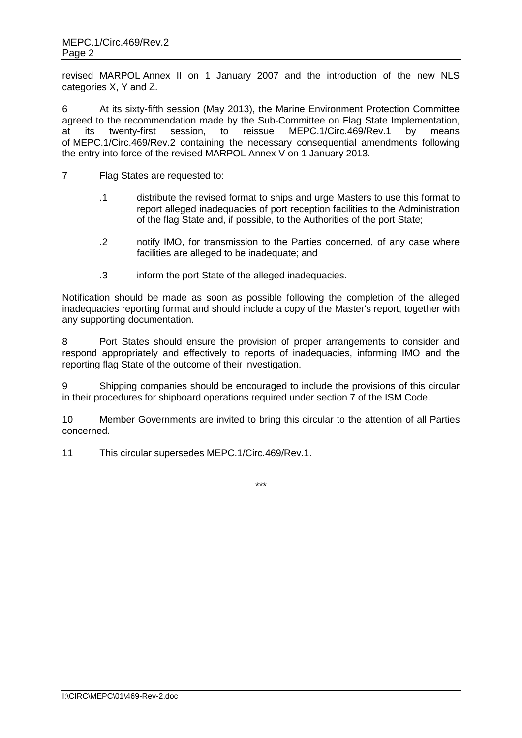revised MARPOL Annex II on 1 January 2007 and the introduction of the new NLS categories X, Y and Z.

6 At its sixty-fifth session (May 2013), the Marine Environment Protection Committee agreed to the recommendation made by the Sub-Committee on Flag State Implementation, at its twenty-first session, to reissue MEPC.1/Circ.469/Rev.1 by means of MEPC.1/Circ.469/Rev.2 containing the necessary consequential amendments following the entry into force of the revised MARPOL Annex V on 1 January 2013.

- 7 Flag States are requested to:
	- .1 distribute the revised format to ships and urge Masters to use this format to report alleged inadequacies of port reception facilities to the Administration of the flag State and, if possible, to the Authorities of the port State;
	- .2 notify IMO, for transmission to the Parties concerned, of any case where facilities are alleged to be inadequate; and
	- .3 inform the port State of the alleged inadequacies.

Notification should be made as soon as possible following the completion of the alleged inadequacies reporting format and should include a copy of the Master's report, together with any supporting documentation.

8 Port States should ensure the provision of proper arrangements to consider and respond appropriately and effectively to reports of inadequacies, informing IMO and the reporting flag State of the outcome of their investigation.

9 Shipping companies should be encouraged to include the provisions of this circular in their procedures for shipboard operations required under section 7 of the ISM Code.

10 Member Governments are invited to bring this circular to the attention of all Parties concerned.

11 This circular supersedes MEPC.1/Circ.469/Rev.1.

\*\*\*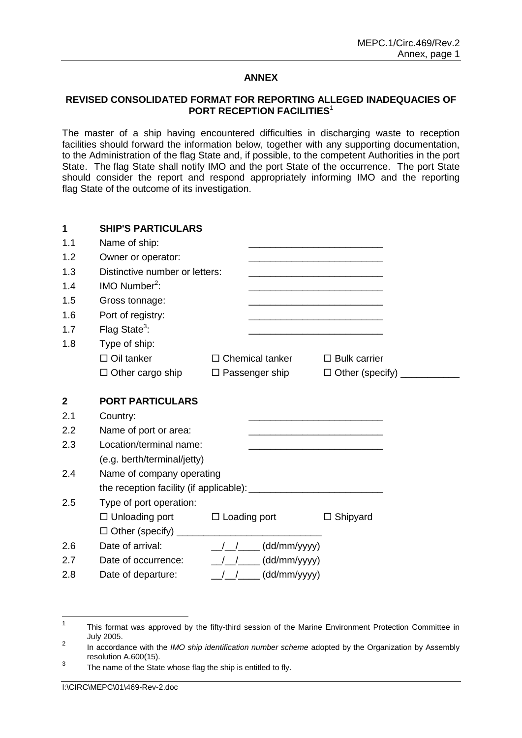## **ANNEX**

## **REVISED CONSOLIDATED FORMAT FOR REPORTING ALLEGED INADEQUACIES OF PORT RECEPTION FACILITIES<sup>1</sup>**

The master of a ship having encountered difficulties in discharging waste to reception facilities should forward the information below, together with any supporting documentation, to the Administration of the flag State and, if possible, to the competent Authorities in the port State. The flag State shall notify IMO and the port State of the occurrence. The port State should consider the report and respond appropriately informing IMO and the reporting flag State of the outcome of its investigation.

| $\mathbf 1$  | <b>SHIP'S PARTICULARS</b>                                    |                                      |                                                                                                                         |
|--------------|--------------------------------------------------------------|--------------------------------------|-------------------------------------------------------------------------------------------------------------------------|
| 1.1          | Name of ship:                                                |                                      |                                                                                                                         |
| 1.2          | Owner or operator:                                           |                                      | <u> 1989 - Johann John Stone, mars eta bat eta bat eta bat eta bat eta bat eta bat eta bat eta bat eta bat eta b</u>    |
| 1.3          | Distinctive number or letters:                               |                                      |                                                                                                                         |
| 1.4          | IMO Number <sup>2</sup> :                                    |                                      |                                                                                                                         |
| 1.5          | Gross tonnage:                                               |                                      |                                                                                                                         |
| 1.6          | Port of registry:                                            |                                      | <u> 1980 - Johann John Stone, mars eta bat eta bat erroman erroman erroman erroman erroman erroman erroman erroman </u> |
| 1.7          | Flag State <sup>3</sup> :                                    |                                      |                                                                                                                         |
| 1.8          | Type of ship:                                                |                                      |                                                                                                                         |
|              | $\Box$ Oil tanker                                            | $\Box$ Chemical tanker               | $\Box$ Bulk carrier                                                                                                     |
|              | $\Box$ Other cargo ship                                      |                                      | □ Passenger ship □ Other (specify) __________                                                                           |
| $\mathbf{2}$ | <b>PORT PARTICULARS</b>                                      |                                      |                                                                                                                         |
| 2.1          | Country:                                                     |                                      | <u> 1989 - Johann John Harry Barn, mars and deutscher Stadt and der Stadt and deutsche Einstein and der Stadt an</u>    |
| 2.2          | Name of port or area:                                        |                                      |                                                                                                                         |
| 2.3          | Location/terminal name:                                      |                                      | <u> 1989 - Jan James James Jan James James James James James James James James James James James James James Jam</u>    |
|              | (e.g. berth/terminal/jetty)                                  |                                      |                                                                                                                         |
| 2.4          | Name of company operating                                    |                                      |                                                                                                                         |
|              |                                                              |                                      |                                                                                                                         |
| 2.5          | Type of port operation:                                      |                                      |                                                                                                                         |
|              | $\Box$ Unloading port $\Box$ Loading port                    |                                      | $\Box$ Shipyard                                                                                                         |
|              |                                                              |                                      |                                                                                                                         |
| 2.6          |                                                              |                                      |                                                                                                                         |
| 2.7          | Date of occurrence: $\frac{1}{2}$ $\frac{1}{2}$ (dd/mm/yyyy) |                                      |                                                                                                                         |
| 2.8          | Date of departure:                                           | $\frac{1}{\sqrt{2}}$<br>(dd/mm/yyyy) |                                                                                                                         |

 $\frac{1}{1}$ This format was approved by the fifty-third session of the Marine Environment Protection Committee in July 2005.  $\overline{2}$ 

In accordance with the *IMO ship identification number scheme* adopted by the Organization by Assembly resolution A.600(15). 3

The name of the State whose flag the ship is entitled to fly.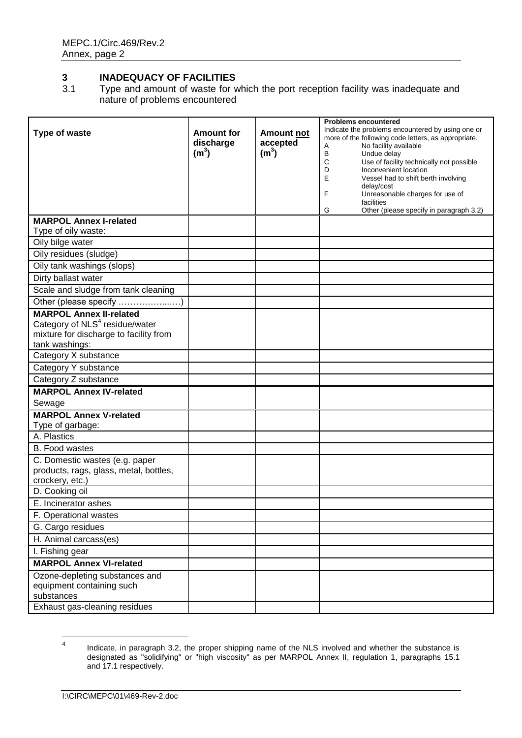## **3 INADEQUACY OF FACILITIES**<br>3.1 Type and amount of waste for **v**

Type and amount of waste for which the port reception facility was inadequate and nature of problems encountered

|                                                                                                                                          |                                                     |                                                    | <b>Problems encountered</b>                                                                                                                                                                                                                                                                         |
|------------------------------------------------------------------------------------------------------------------------------------------|-----------------------------------------------------|----------------------------------------------------|-----------------------------------------------------------------------------------------------------------------------------------------------------------------------------------------------------------------------------------------------------------------------------------------------------|
| <b>Type of waste</b>                                                                                                                     | <b>Amount for</b><br>discharge<br>(m <sup>3</sup> ) | <b>Amount not</b><br>accepted<br>(m <sup>3</sup> ) | Indicate the problems encountered by using one or<br>more of the following code letters, as appropriate.<br>No facility available<br>Α<br>B<br>Undue delay<br>С<br>Use of facility technically not possible<br>D<br>Inconvenient location<br>E<br>Vessel had to shift berth involving<br>delay/cost |
|                                                                                                                                          |                                                     |                                                    | F<br>Unreasonable charges for use of<br>facilities<br>Other (please specify in paragraph 3.2)<br>G                                                                                                                                                                                                  |
| <b>MARPOL Annex I-related</b>                                                                                                            |                                                     |                                                    |                                                                                                                                                                                                                                                                                                     |
| Type of oily waste:                                                                                                                      |                                                     |                                                    |                                                                                                                                                                                                                                                                                                     |
| Oily bilge water                                                                                                                         |                                                     |                                                    |                                                                                                                                                                                                                                                                                                     |
| Oily residues (sludge)                                                                                                                   |                                                     |                                                    |                                                                                                                                                                                                                                                                                                     |
| Oily tank washings (slops)                                                                                                               |                                                     |                                                    |                                                                                                                                                                                                                                                                                                     |
| Dirty ballast water                                                                                                                      |                                                     |                                                    |                                                                                                                                                                                                                                                                                                     |
| Scale and sludge from tank cleaning                                                                                                      |                                                     |                                                    |                                                                                                                                                                                                                                                                                                     |
| Other (please specify )                                                                                                                  |                                                     |                                                    |                                                                                                                                                                                                                                                                                                     |
| <b>MARPOL Annex II-related</b><br>Category of NLS <sup>4</sup> residue/water<br>mixture for discharge to facility from<br>tank washings: |                                                     |                                                    |                                                                                                                                                                                                                                                                                                     |
| Category X substance                                                                                                                     |                                                     |                                                    |                                                                                                                                                                                                                                                                                                     |
| Category Y substance                                                                                                                     |                                                     |                                                    |                                                                                                                                                                                                                                                                                                     |
| Category Z substance                                                                                                                     |                                                     |                                                    |                                                                                                                                                                                                                                                                                                     |
| <b>MARPOL Annex IV-related</b><br>Sewage                                                                                                 |                                                     |                                                    |                                                                                                                                                                                                                                                                                                     |
| <b>MARPOL Annex V-related</b>                                                                                                            |                                                     |                                                    |                                                                                                                                                                                                                                                                                                     |
| Type of garbage:                                                                                                                         |                                                     |                                                    |                                                                                                                                                                                                                                                                                                     |
| A. Plastics                                                                                                                              |                                                     |                                                    |                                                                                                                                                                                                                                                                                                     |
| B. Food wastes                                                                                                                           |                                                     |                                                    |                                                                                                                                                                                                                                                                                                     |
| C. Domestic wastes (e.g. paper<br>products, rags, glass, metal, bottles,<br>crockery, etc.)                                              |                                                     |                                                    |                                                                                                                                                                                                                                                                                                     |
| D. Cooking oil                                                                                                                           |                                                     |                                                    |                                                                                                                                                                                                                                                                                                     |
| E. Incinerator ashes                                                                                                                     |                                                     |                                                    |                                                                                                                                                                                                                                                                                                     |
| F. Operational wastes                                                                                                                    |                                                     |                                                    |                                                                                                                                                                                                                                                                                                     |
| G. Cargo residues                                                                                                                        |                                                     |                                                    |                                                                                                                                                                                                                                                                                                     |
| H. Animal carcass(es)                                                                                                                    |                                                     |                                                    |                                                                                                                                                                                                                                                                                                     |
| I. Fishing gear                                                                                                                          |                                                     |                                                    |                                                                                                                                                                                                                                                                                                     |
| <b>MARPOL Annex VI-related</b>                                                                                                           |                                                     |                                                    |                                                                                                                                                                                                                                                                                                     |
| Ozone-depleting substances and<br>equipment containing such<br>substances                                                                |                                                     |                                                    |                                                                                                                                                                                                                                                                                                     |
| Exhaust gas-cleaning residues                                                                                                            |                                                     |                                                    |                                                                                                                                                                                                                                                                                                     |

 $\frac{1}{4}$ Indicate, in paragraph 3.2, the proper shipping name of the NLS involved and whether the substance is designated as "solidifying" or "high viscosity" as per MARPOL Annex II, regulation 1, paragraphs 15.1 and 17.1 respectively.